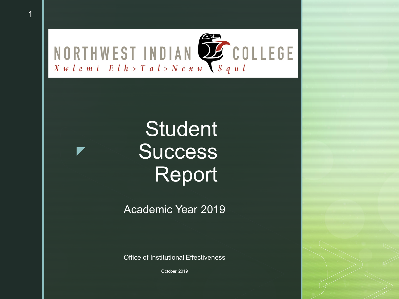

 $\blacktriangledown$ 

# **Student Success** Report

Academic Year 2019

Office of Institutional Effectiveness

October 2019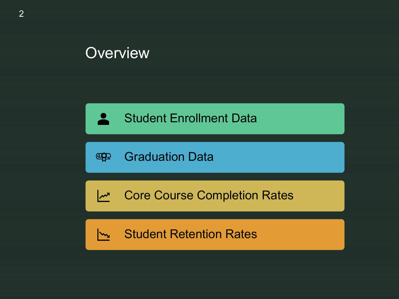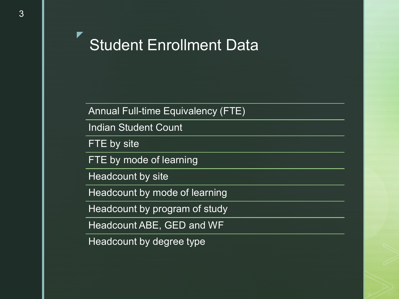Student Enrollment Data

Annual Full-time Equivalency (FTE)

Indian Student Count

FTE by site

 $\blacktriangledown$ 

FTE by mode of learning

Headcount by site

Headcount by mode of learning

Headcount by program of study

Headcount ABE, GED and WF

Headcount by degree type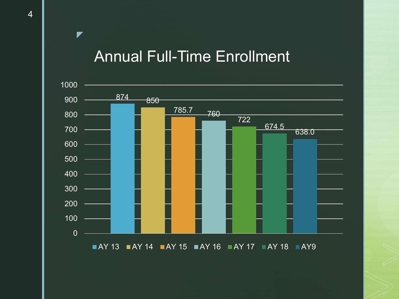#### Annual Full-Time Enrollment



 $\blacktriangleright$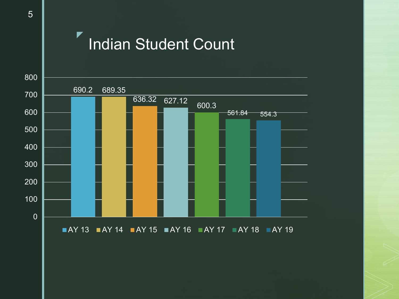## Indian Student Count



 $\blacktriangledown$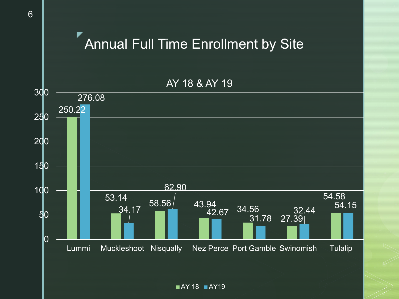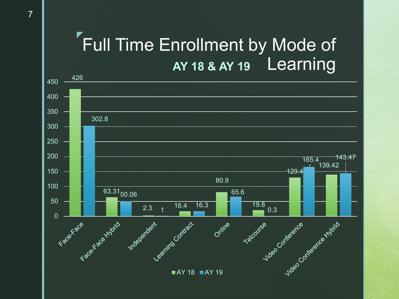#### $\blacktriangledown$ Full Time Enrollment by Mode of AY 18 & AY 19 Learning

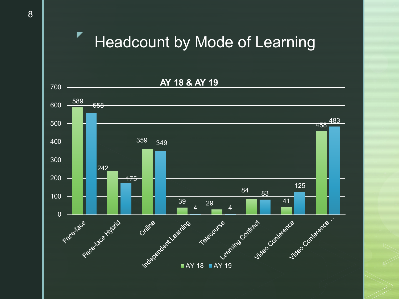## Headcount by Mode of Learning



 $\blacktriangledown$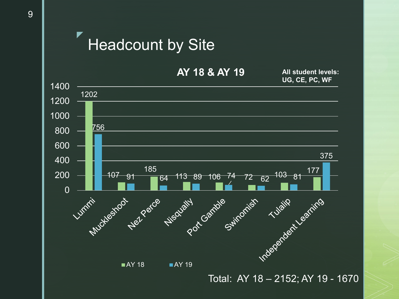



Total: AY 18 – 2152; AY 19 - 1670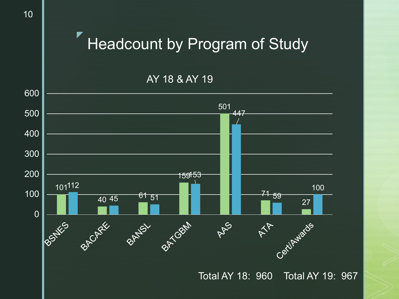# Headcount by Program of Study

AY 18 & AY 19



▼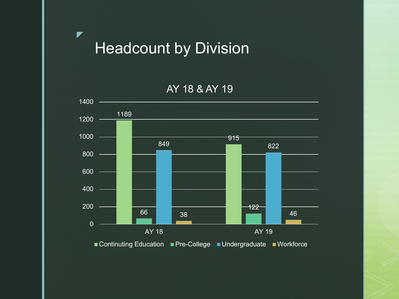Headcount by Division

 $\blacktriangledown$ 

AY 18 & AY 19

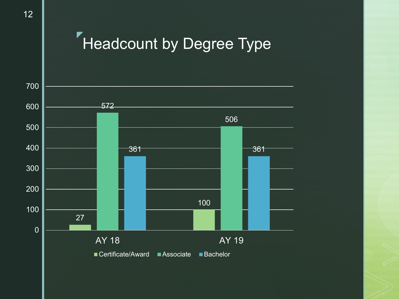#### $\blacktriangledown$ Headcount by Degree Type

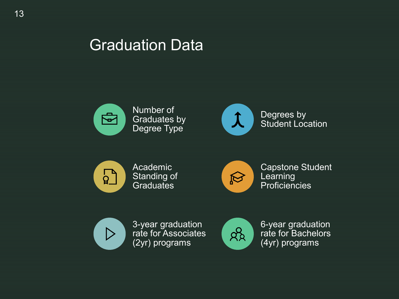#### Graduation Data



Number of Graduates by Degree Type



Degrees by Student Location



Academic Standing of Graduates



Capstone Student **Learning Proficiencies** 



3-year graduation rate for Associates (2yr) programs



6-year graduation rate for Bachelors (4yr) programs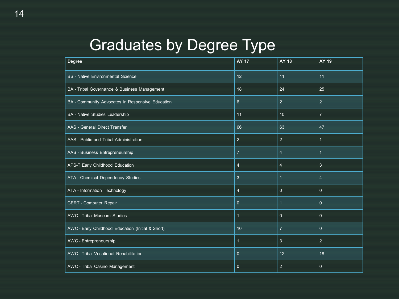# Graduates by Degree Type

| Degree                                            | <b>AY 17</b>     | AY 18          | AY 19          |
|---------------------------------------------------|------------------|----------------|----------------|
| <b>BS</b> - Native Environmental Science          | 12 <sup>°</sup>  | 11             | 11             |
| BA - Tribal Governance & Business Management      | 18               | 24             | 25             |
| BA - Community Advocates in Responsive Education  | $6 \overline{6}$ | $\overline{2}$ | 2              |
| BA - Native Studies Leadership                    | 11               | 10             | $\overline{7}$ |
| AAS - General Direct Transfer                     | 66               | 63             | 47             |
| AAS - Public and Tribal Administration            | $\overline{2}$   | $\overline{2}$ | $\mathbf{1}$   |
| AAS - Business Entrepreneurship                   | $\overline{7}$   | $\overline{4}$ | $\overline{1}$ |
| APS-T Early Childhood Education                   | $\overline{4}$   | $\overline{4}$ | 3              |
| ATA - Chemical Dependency Studies                 | 3                | $\mathbf{1}$   | $\overline{4}$ |
| ATA - Information Technology                      | $\overline{4}$   | $\overline{0}$ | $\overline{0}$ |
| CERT - Computer Repair                            | $\mathbf{0}$     | $\mathbf{1}$   | $\mathbf{0}$   |
| <b>AWC</b> - Tribal Museum Studies                | 1                | $\mathbf{0}$   | $\overline{0}$ |
| AWC - Early Childhood Education (Initial & Short) | 10               | $\overline{7}$ | $\mathbf{0}$   |
| AWC - Entrepreneurship                            | $\mathbf{1}$     | $\mathbf{3}$   | 2              |
| AWC - Tribal Vocational Rehabilitation            | $\mathbf{0}$     | 12             | 18             |
| AWC - Tribal Casino Management                    | $\mathbf{0}$     | 2              | $\mathbf{0}$   |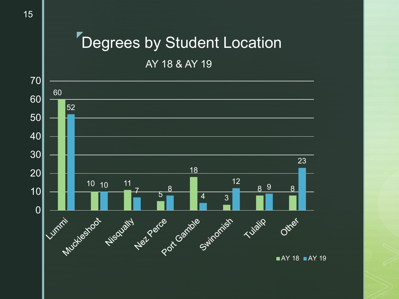#### $\blacktriangledown$ Degrees by Student Location

AY 18 & AY 19

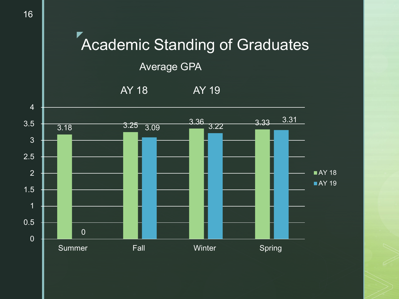

16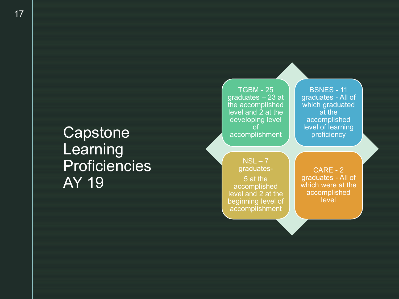## **Capstone Learning Proficiencies** AY 19

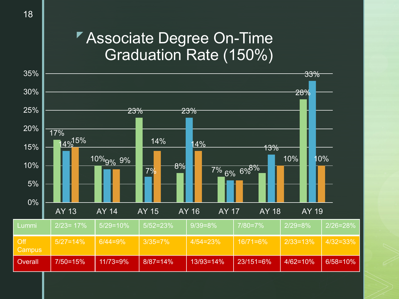#### Associate Degree On-Time Graduation Rate (150%)

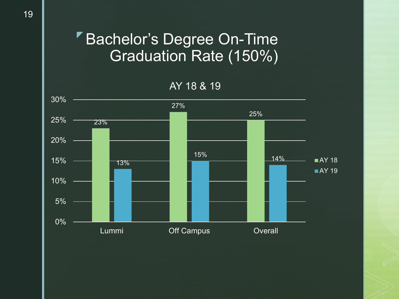#### Bachelor's Degree On-Time Graduation Rate (150%)

AY 18 & 19

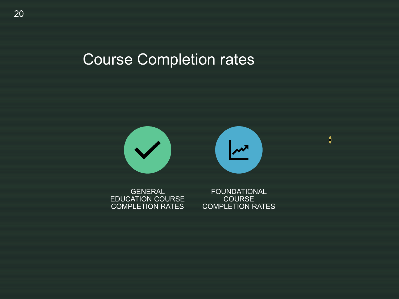## Course Completion rates



GENERAL EDUCATION COURSE COMPLETION RATES

FOUNDATIONAL COURSE COMPLETION RATES  $\bullet$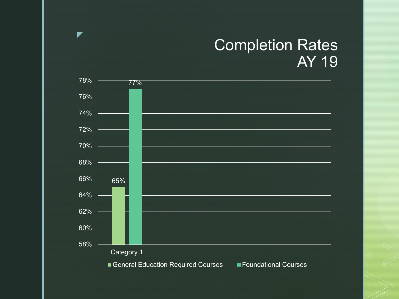### **Completion Rates** AY 19



r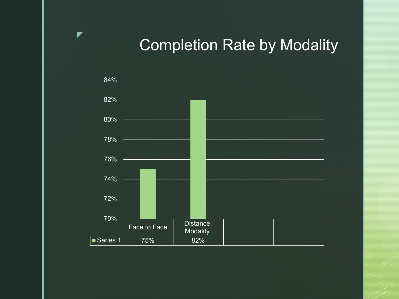## Completion Rate by Modality



 $\blacktriangledown$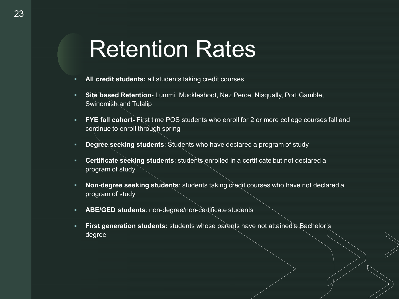# Retention Rates

- **All credit students:** all students taking credit courses
- **Site based Retention-** Lummi, Muckleshoot, Nez Perce, Nisqually, Port Gamble, Swinomish and Tulalip
- **FYE fall cohort-** First time POS students who enroll for 2 or more college courses fall and continue to enroll through spring
- **Degree seeking students**: Students who have declared a program of study
- **Certificate seeking students**: students enrolled in a certificate but not declared a program of study
- **Non-degree seeking students**: students taking credit courses who have not declared a program of study
- **ABE/GED students**: non-degree/non-certificate students
- **First generation students:** students whose parents have not attained a Bachelor's degree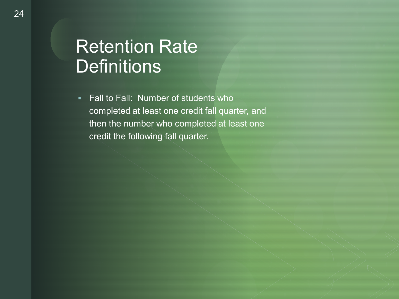#### Retention Rate **Definitions**

**Fall to Fall: Number of students who** completed at least one credit fall quarter, and then the number who completed at least one credit the following fall quarter.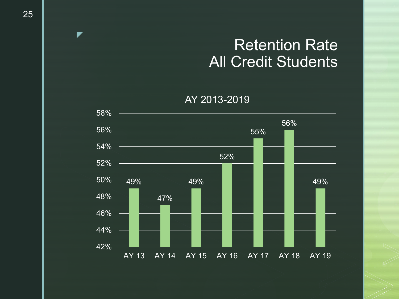### Retention Rate All Credit Students

AY 2013-2019



▼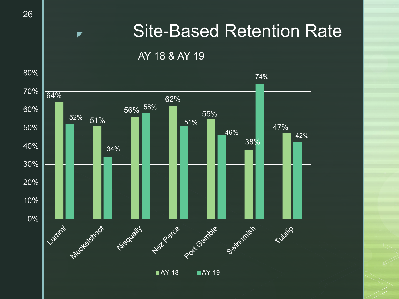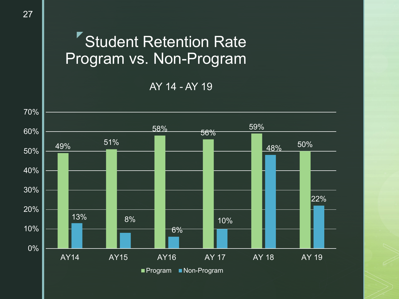# Student Retention Rate Program vs. Non-Program

AY 14 - AY 19



27